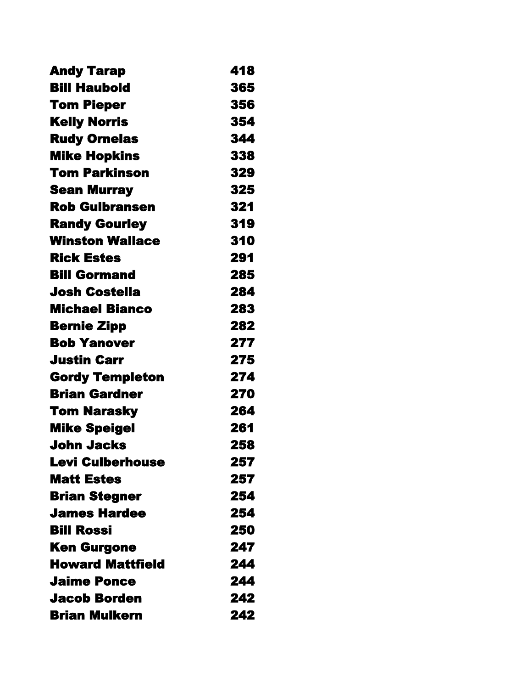| <b>Andy Tarap</b>       | 418 |
|-------------------------|-----|
| <b>Bill Haubold</b>     | 365 |
| <b>Tom Pieper</b>       | 356 |
| <b>Kelly Norris</b>     | 354 |
| <b>Rudy Ornelas</b>     | 344 |
| <b>Mike Hopkins</b>     | 338 |
| <b>Tom Parkinson</b>    | 329 |
| <b>Sean Murray</b>      | 325 |
| <b>Rob Gulbransen</b>   | 321 |
| <b>Randy Gourley</b>    | 319 |
| <b>Winston Wallace</b>  | 310 |
| <b>Rick Estes</b>       | 291 |
| <b>Bill Gormand</b>     | 285 |
| Josh Costella           | 284 |
| <b>Michael Bianco</b>   | 283 |
| <b>Bernie Zipp</b>      | 282 |
| <b>Bob Yanover</b>      | 277 |
| <b>Justin Carr</b>      | 275 |
| <b>Gordy Templeton</b>  | 274 |
| <b>Brian Gardner</b>    | 270 |
| <b>Tom Narasky</b>      | 264 |
| <b>Mike Speigel</b>     | 261 |
| <b>John Jacks</b>       | 258 |
| <b>Levi Culberhouse</b> | 257 |
| <b>Matt Estes</b>       | 257 |
| <b>Brian Stegner</b>    | 254 |
| James Hardee            | 254 |
| <b>Bill Rossi</b>       | 250 |
| <b>Ken Gurgone</b>      | 247 |
| <b>Howard Mattfield</b> | 244 |
| <b>Jaime Ponce</b>      | 244 |
| <b>Jacob Borden</b>     | 242 |
| <b>Brian Mulkern</b>    | 242 |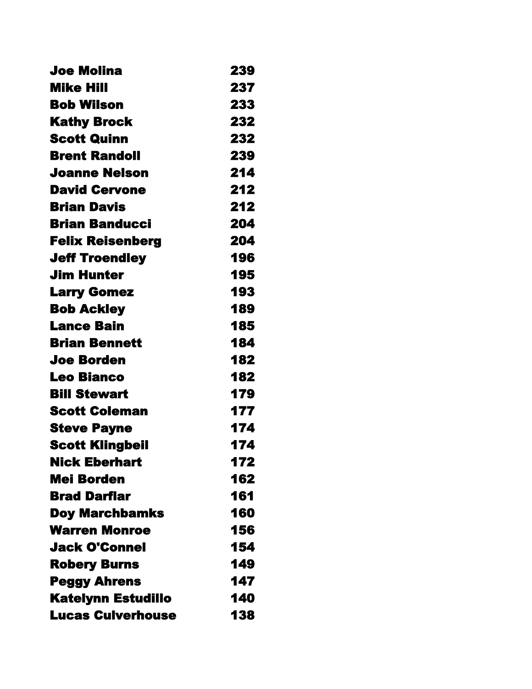| Joe Molina                | 239 |
|---------------------------|-----|
| <b>Mike Hill</b>          | 237 |
| <b>Bob Wilson</b>         | 233 |
| <b>Kathy Brock</b>        | 232 |
| <b>Scott Quinn</b>        | 232 |
| <b>Brent Randoll</b>      | 239 |
| <b>Joanne Nelson</b>      | 214 |
| <b>David Cervone</b>      | 212 |
| <b>Brian Davis</b>        | 212 |
| <b>Brian Banducci</b>     | 204 |
| <b>Felix Reisenberg</b>   | 204 |
| <b>Jeff Troendley</b>     | 196 |
| <b>Jim Hunter</b>         | 195 |
| <b>Larry Gomez</b>        | 193 |
| <b>Bob Ackley</b>         | 189 |
| Lance Bain                | 185 |
| <b>Brian Bennett</b>      | 184 |
| <b>Joe Borden</b>         | 182 |
| <b>Leo Bianco</b>         | 182 |
| <b>Bill Stewart</b>       | 179 |
| <b>Scott Coleman</b>      | 177 |
| <b>Steve Payne</b>        | 174 |
| <b>Scott Klingbeil</b>    | 174 |
| <b>Nick Eberhart</b>      | 172 |
| <b>Mei Borden</b>         | 162 |
| <b>Brad Darflar</b>       | 161 |
| <b>Doy Marchbamks</b>     | 160 |
| <b>Warren Monroe</b>      | 156 |
| <b>Jack O'Connel</b>      | 154 |
| <b>Robery Burns</b>       | 149 |
| <b>Peggy Ahrens</b>       | 147 |
| <b>Katelynn Estudillo</b> | 140 |
| <b>Lucas Culverhouse</b>  | 138 |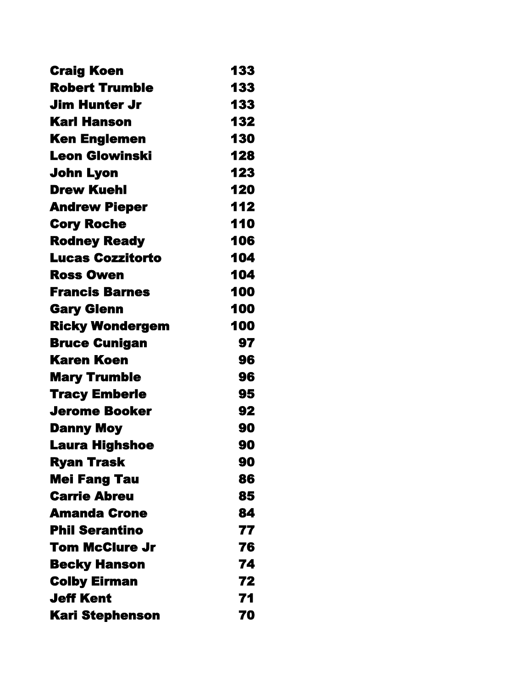| <b>Craig Koen</b>       | 133 |
|-------------------------|-----|
| <b>Robert Trumble</b>   | 133 |
| Jim Hunter Jr           | 133 |
| <b>Karl Hanson</b>      | 132 |
| <b>Ken Englemen</b>     | 130 |
| <b>Leon Glowinski</b>   | 128 |
| John Lyon               | 123 |
| <b>Drew Kuehl</b>       | 120 |
| <b>Andrew Pieper</b>    | 112 |
| <b>Cory Roche</b>       | 110 |
| <b>Rodney Ready</b>     | 106 |
| <b>Lucas Cozzitorto</b> | 104 |
| <b>Ross Owen</b>        | 104 |
| <b>Francis Barnes</b>   | 100 |
| <b>Gary Glenn</b>       | 100 |
| <b>Ricky Wondergem</b>  | 100 |
| <b>Bruce Cunigan</b>    | 97  |
| <b>Karen Koen</b>       | 96  |
| <b>Mary Trumble</b>     | 96  |
| <b>Tracy Emberle</b>    | 95  |
| Jerome Booker           | 92  |
| <b>Danny Moy</b>        | 90  |
| <b>Laura Highshoe</b>   | 90  |
| <b>Ryan Trask</b>       | 90  |
| <b>Mei Fang Tau</b>     | 86  |
| <b>Carrie Abreu</b>     | 85  |
| <b>Amanda Crone</b>     | 84  |
| <b>Phil Serantino</b>   | 77  |
| Tom McClure Jr          | 76  |
| <b>Becky Hanson</b>     | 74  |
| <b>Colby Eirman</b>     | 72  |
| <b>Jeff Kent</b>        | 71  |
| <b>Kari Stephenson</b>  | 70  |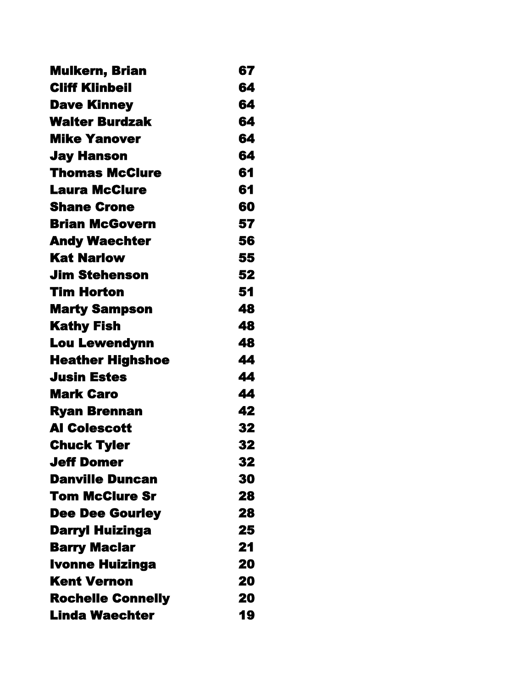| <b>Mulkern, Brian</b>    | 67 |
|--------------------------|----|
| <b>Cliff Klinbeil</b>    | 64 |
| <b>Dave Kinney</b>       | 64 |
| <b>Walter Burdzak</b>    | 64 |
| <b>Mike Yanover</b>      | 64 |
| <b>Jay Hanson</b>        | 64 |
| <b>Thomas McClure</b>    | 61 |
| <b>Laura McClure</b>     | 61 |
| <b>Shane Crone</b>       | 60 |
| <b>Brian McGovern</b>    | 57 |
| <b>Andy Waechter</b>     | 56 |
| <b>Kat Narlow</b>        | 55 |
| <b>Jim Stehenson</b>     | 52 |
| Tim Horton               | 51 |
| <b>Marty Sampson</b>     | 48 |
| <b>Kathy Fish</b>        | 48 |
| <b>Lou Lewendynn</b>     | 48 |
| <b>Heather Highshoe</b>  | 44 |
| <b>Jusin Estes</b>       | 44 |
| <b>Mark Caro</b>         | 44 |
| <b>Ryan Brennan</b>      | 42 |
| <b>Al Colescott</b>      | 32 |
| <b>Chuck Tyler</b>       | 32 |
| Jeff Domer               | 32 |
| <b>Danville Duncan</b>   | 30 |
| Tom McClure Sr           | 28 |
| <b>Dee Dee Gourley</b>   | 28 |
| <b>Darryl Huizinga</b>   | 25 |
| <b>Barry Maclar</b>      | 21 |
| <b>Ivonne Huizinga</b>   | 20 |
| <b>Kent Vernon</b>       | 20 |
| <b>Rochelle Connelly</b> | 20 |
| <b>Linda Waechter</b>    | 19 |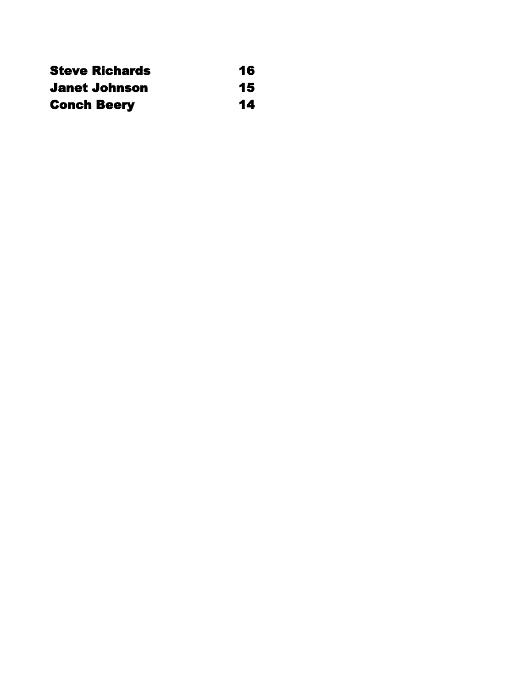| <b>Steve Richards</b> | 16 |
|-----------------------|----|
| <b>Janet Johnson</b>  | 15 |
| <b>Conch Beery</b>    | 14 |